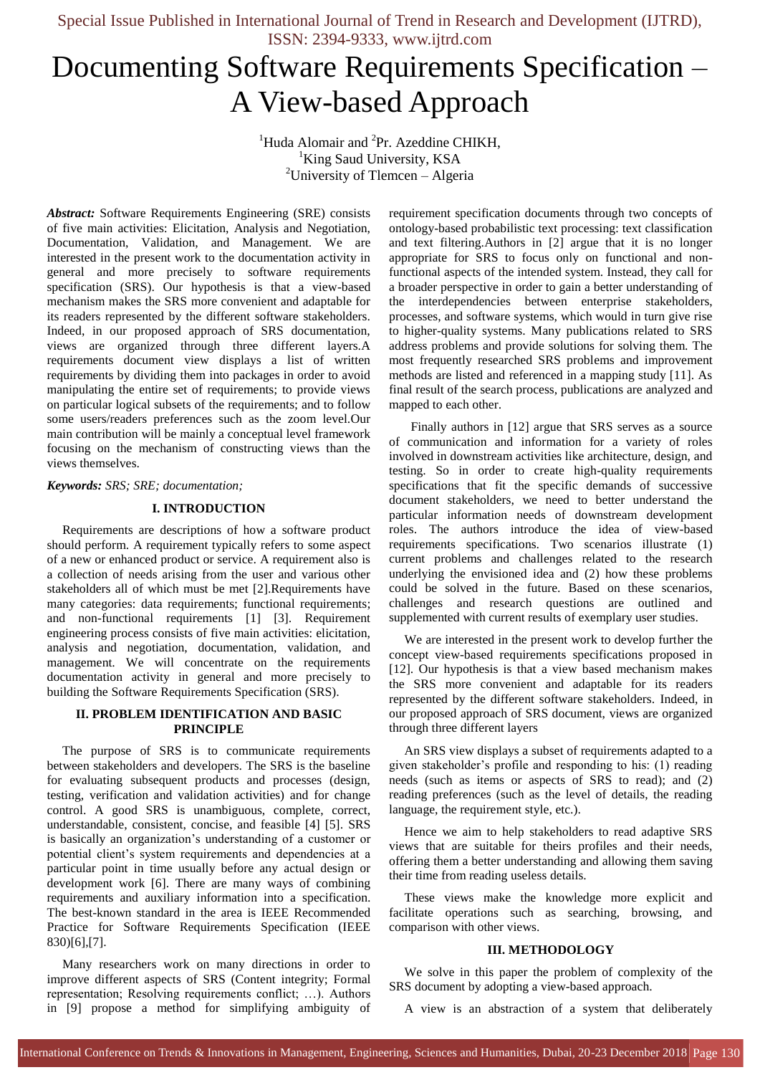# Documenting Software Requirements Specification – A View-based Approach

<sup>1</sup>Huda Alomair and <sup>2</sup>Pr. Azeddine CHIKH, <sup>1</sup>King Saud University, KSA <sup>2</sup>University of Tlemcen – Algeria

*Abstract:* Software Requirements Engineering (SRE) consists of five main activities: Elicitation, Analysis and Negotiation, Documentation, Validation, and Management. We are interested in the present work to the documentation activity in general and more precisely to software requirements specification (SRS). Our hypothesis is that a view-based mechanism makes the SRS more convenient and adaptable for its readers represented by the different software stakeholders. Indeed, in our proposed approach of SRS documentation, views are organized through three different layers.A requirements document view displays a list of written requirements by dividing them into packages in order to avoid manipulating the entire set of requirements; to provide views on particular logical subsets of the requirements; and to follow some users/readers preferences such as the zoom level.Our main contribution will be mainly a conceptual level framework focusing on the mechanism of constructing views than the views themselves.

#### *Keywords: SRS; SRE; documentation;*

#### **I. INTRODUCTION**

Requirements are descriptions of how a software product should perform. A requirement typically refers to some aspect of a new or enhanced product or service. A requirement also is a collection of needs arising from the user and various other stakeholders all of which must be met [2].Requirements have many categories: data requirements; functional requirements; and non-functional requirements [1] [3]. Requirement engineering process consists of five main activities: elicitation, analysis and negotiation, documentation, validation, and management. We will concentrate on the requirements documentation activity in general and more precisely to building the Software Requirements Specification (SRS).

### **II. PROBLEM IDENTIFICATION AND BASIC PRINCIPLE**

The purpose of SRS is to communicate requirements between stakeholders and developers. The SRS is the baseline for evaluating subsequent products and processes (design, testing, verification and validation activities) and for change control. A good SRS is unambiguous, complete, correct, understandable, consistent, concise, and feasible [4] [5]. SRS is basically an organization's understanding of a customer or potential client's system requirements and dependencies at a particular point in time usually before any actual design or development work [6]. There are many ways of combining requirements and auxiliary information into a specification. The best-known standard in the area is IEEE Recommended Practice for Software Requirements Specification (IEEE 830)[6],[7].

Many researchers work on many directions in order to improve different aspects of SRS (Content integrity; Formal representation; Resolving requirements conflict; …). Authors in [9] propose a method for simplifying ambiguity of

requirement specification documents through two concepts of ontology-based probabilistic text processing: text classification and text filtering.Authors in [2] argue that it is no longer appropriate for SRS to focus only on functional and nonfunctional aspects of the intended system. Instead, they call for a broader perspective in order to gain a better understanding of the interdependencies between enterprise stakeholders, processes, and software systems, which would in turn give rise to higher-quality systems. Many publications related to SRS address problems and provide solutions for solving them. The most frequently researched SRS problems and improvement methods are listed and referenced in a mapping study [11]. As final result of the search process, publications are analyzed and mapped to each other.

 Finally authors in [12] argue that SRS serves as a source of communication and information for a variety of roles involved in downstream activities like architecture, design, and testing. So in order to create high-quality requirements specifications that fit the specific demands of successive document stakeholders, we need to better understand the particular information needs of downstream development roles. The authors introduce the idea of view-based requirements specifications. Two scenarios illustrate (1) current problems and challenges related to the research underlying the envisioned idea and (2) how these problems could be solved in the future. Based on these scenarios, challenges and research questions are outlined and supplemented with current results of exemplary user studies.

We are interested in the present work to develop further the concept view-based requirements specifications proposed in [12]. Our hypothesis is that a view based mechanism makes the SRS more convenient and adaptable for its readers represented by the different software stakeholders. Indeed, in our proposed approach of SRS document, views are organized through three different layers

An SRS view displays a subset of requirements adapted to a given stakeholder's profile and responding to his: (1) reading needs (such as items or aspects of SRS to read); and (2) reading preferences (such as the level of details, the reading language, the requirement style, etc.).

Hence we aim to help stakeholders to read adaptive SRS views that are suitable for theirs profiles and their needs, offering them a better understanding and allowing them saving their time from reading useless details.

These views make the knowledge more explicit and facilitate operations such as searching, browsing, and comparison with other views.

#### **III. METHODOLOGY**

We solve in this paper the problem of complexity of the SRS document by adopting a view-based approach.

A view is an abstraction of a system that deliberately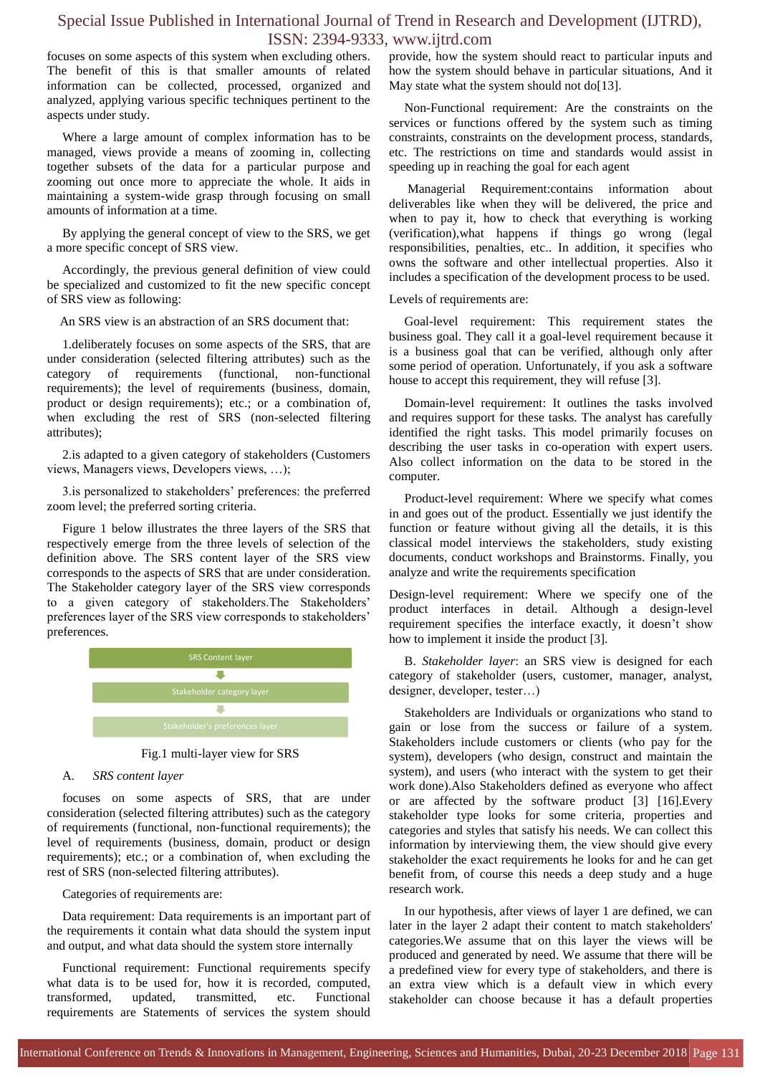focuses on some aspects of this system when excluding others. The benefit of this is that smaller amounts of related information can be collected, processed, organized and analyzed, applying various specific techniques pertinent to the aspects under study.

Where a large amount of complex information has to be managed, views provide a means of zooming in, collecting together subsets of the data for a particular purpose and zooming out once more to appreciate the whole. It aids in maintaining a system-wide grasp through focusing on small amounts of information at a time.

By applying the general concept of view to the SRS, we get a more specific concept of SRS view.

Accordingly, the previous general definition of view could be specialized and customized to fit the new specific concept of SRS view as following:

An SRS view is an abstraction of an SRS document that:

1.deliberately focuses on some aspects of the SRS, that are under consideration (selected filtering attributes) such as the category of requirements (functional, non-functional requirements); the level of requirements (business, domain, product or design requirements); etc.; or a combination of, when excluding the rest of SRS (non-selected filtering attributes);

2.is adapted to a given category of stakeholders (Customers views, Managers views, Developers views, …);

3.is personalized to stakeholders' preferences: the preferred zoom level; the preferred sorting criteria.

Figure 1 below illustrates the three layers of the SRS that respectively emerge from the three levels of selection of the definition above. The SRS content layer of the SRS view corresponds to the aspects of SRS that are under consideration. The Stakeholder category layer of the SRS view corresponds to a given category of stakeholders.The Stakeholders' preferences layer of the SRS view corresponds to stakeholders' preferences.





#### A. *SRS content layer*

focuses on some aspects of SRS, that are under consideration (selected filtering attributes) such as the category of requirements (functional, non-functional requirements); the level of requirements (business, domain, product or design requirements); etc.; or a combination of, when excluding the rest of SRS (non-selected filtering attributes).

#### Categories of requirements are:

Data requirement: Data requirements is an important part of the requirements it contain what data should the system input and output, and what data should the system store internally

Functional requirement: Functional requirements specify what data is to be used for, how it is recorded, computed, transformed, updated, transmitted, etc. Functional requirements are Statements of services the system should provide, how the system should react to particular inputs and how the system should behave in particular situations, And it May state what the system should not do[13].

Non-Functional requirement: Are the constraints on the services or functions offered by the system such as timing constraints, constraints on the development process, standards, etc. The restrictions on time and standards would assist in speeding up in reaching the goal for each agent

Managerial Requirement:contains information about deliverables like when they will be delivered, the price and when to pay it, how to check that everything is working (verification),what happens if things go wrong (legal responsibilities, penalties, etc.. In addition, it specifies who owns the software and other intellectual properties. Also it includes a specification of the development process to be used.

#### Levels of requirements are:

Goal-level requirement: This requirement states the business goal. They call it a goal-level requirement because it is a business goal that can be verified, although only after some period of operation. Unfortunately, if you ask a software house to accept this requirement, they will refuse [3].

Domain-level requirement: It outlines the tasks involved and requires support for these tasks. The analyst has carefully identified the right tasks. This model primarily focuses on describing the user tasks in co-operation with expert users. Also collect information on the data to be stored in the computer.

Product-level requirement: Where we specify what comes in and goes out of the product. Essentially we just identify the function or feature without giving all the details, it is this classical model interviews the stakeholders, study existing documents, conduct workshops and Brainstorms. Finally, you analyze and write the requirements specification

Design-level requirement: Where we specify one of the product interfaces in detail. Although a design-level requirement specifies the interface exactly, it doesn't show how to implement it inside the product [3].

B. *Stakeholder layer*: an SRS view is designed for each category of stakeholder (users, customer, manager, analyst, designer, developer, tester…)

Stakeholders are Individuals or organizations who stand to gain or lose from the success or failure of a system. Stakeholders include customers or clients (who pay for the system), developers (who design, construct and maintain the system), and users (who interact with the system to get their work done).Also Stakeholders defined as everyone who affect or are affected by the software product [3] [16].Every stakeholder type looks for some criteria, properties and categories and styles that satisfy his needs. We can collect this information by interviewing them, the view should give every stakeholder the exact requirements he looks for and he can get benefit from, of course this needs a deep study and a huge research work.

In our hypothesis, after views of layer 1 are defined, we can later in the layer 2 adapt their content to match stakeholders' categories.We assume that on this layer the views will be produced and generated by need. We assume that there will be a predefined view for every type of stakeholders, and there is an extra view which is a default view in which every stakeholder can choose because it has a default properties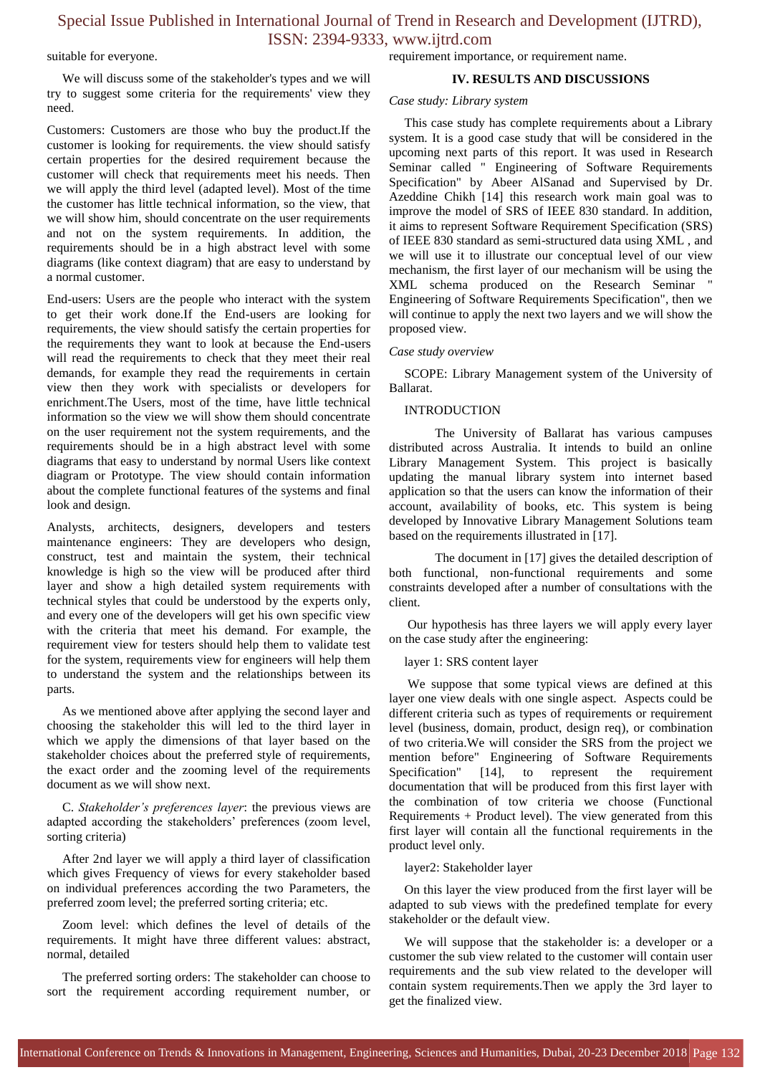#### suitable for everyone.

We will discuss some of the stakeholder's types and we will try to suggest some criteria for the requirements' view they need.

Customers: Customers are those who buy the product.If the customer is looking for requirements. the view should satisfy certain properties for the desired requirement because the customer will check that requirements meet his needs. Then we will apply the third level (adapted level). Most of the time the customer has little technical information, so the view, that we will show him, should concentrate on the user requirements and not on the system requirements. In addition, the requirements should be in a high abstract level with some diagrams (like context diagram) that are easy to understand by a normal customer.

End-users: Users are the people who interact with the system to get their work done.If the End-users are looking for requirements, the view should satisfy the certain properties for the requirements they want to look at because the End-users will read the requirements to check that they meet their real demands, for example they read the requirements in certain view then they work with specialists or developers for enrichment.The Users, most of the time, have little technical information so the view we will show them should concentrate on the user requirement not the system requirements, and the requirements should be in a high abstract level with some diagrams that easy to understand by normal Users like context diagram or Prototype. The view should contain information about the complete functional features of the systems and final look and design.

Analysts, architects, designers, developers and testers maintenance engineers: They are developers who design, construct, test and maintain the system, their technical knowledge is high so the view will be produced after third layer and show a high detailed system requirements with technical styles that could be understood by the experts only, and every one of the developers will get his own specific view with the criteria that meet his demand. For example, the requirement view for testers should help them to validate test for the system, requirements view for engineers will help them to understand the system and the relationships between its parts.

As we mentioned above after applying the second layer and choosing the stakeholder this will led to the third layer in which we apply the dimensions of that layer based on the stakeholder choices about the preferred style of requirements, the exact order and the zooming level of the requirements document as we will show next.

C. *Stakeholder's preferences layer*: the previous views are adapted according the stakeholders' preferences (zoom level, sorting criteria)

After 2nd layer we will apply a third layer of classification which gives Frequency of views for every stakeholder based on individual preferences according the two Parameters, the preferred zoom level; the preferred sorting criteria; etc.

Zoom level: which defines the level of details of the requirements. It might have three different values: abstract, normal, detailed

The preferred sorting orders: The stakeholder can choose to sort the requirement according requirement number, or requirement importance, or requirement name.

#### **IV. RESULTS AND DISCUSSIONS**

#### *Case study: Library system*

This case study has complete requirements about a Library system. It is a good case study that will be considered in the upcoming next parts of this report. It was used in Research Seminar called " Engineering of Software Requirements Specification" by Abeer AlSanad and Supervised by Dr. Azeddine Chikh [14] this research work main goal was to improve the model of SRS of IEEE 830 standard. In addition, it aims to represent Software Requirement Specification (SRS) of IEEE 830 standard as semi-structured data using XML , and we will use it to illustrate our conceptual level of our view mechanism, the first layer of our mechanism will be using the XML schema produced on the Research Seminar " Engineering of Software Requirements Specification", then we will continue to apply the next two layers and we will show the proposed view.

#### *Case study overview*

SCOPE: Library Management system of the University of Ballarat.

#### INTRODUCTION

The University of Ballarat has various campuses distributed across Australia. It intends to build an online Library Management System. This project is basically updating the manual library system into internet based application so that the users can know the information of their account, availability of books, etc. This system is being developed by Innovative Library Management Solutions team based on the requirements illustrated in [17].

The document in [17] gives the detailed description of both functional, non-functional requirements and some constraints developed after a number of consultations with the client.

Our hypothesis has three layers we will apply every layer on the case study after the engineering:

layer 1: SRS content layer

We suppose that some typical views are defined at this layer one view deals with one single aspect. Aspects could be different criteria such as types of requirements or requirement level (business, domain, product, design req), or combination of two criteria.We will consider the SRS from the project we mention before" Engineering of Software Requirements Specification" [14], to represent the requirement documentation that will be produced from this first layer with the combination of tow criteria we choose (Functional Requirements + Product level). The view generated from this first layer will contain all the functional requirements in the product level only.

layer2: Stakeholder layer

On this layer the view produced from the first layer will be adapted to sub views with the predefined template for every stakeholder or the default view.

We will suppose that the stakeholder is: a developer or a customer the sub view related to the customer will contain user requirements and the sub view related to the developer will contain system requirements.Then we apply the 3rd layer to get the finalized view.